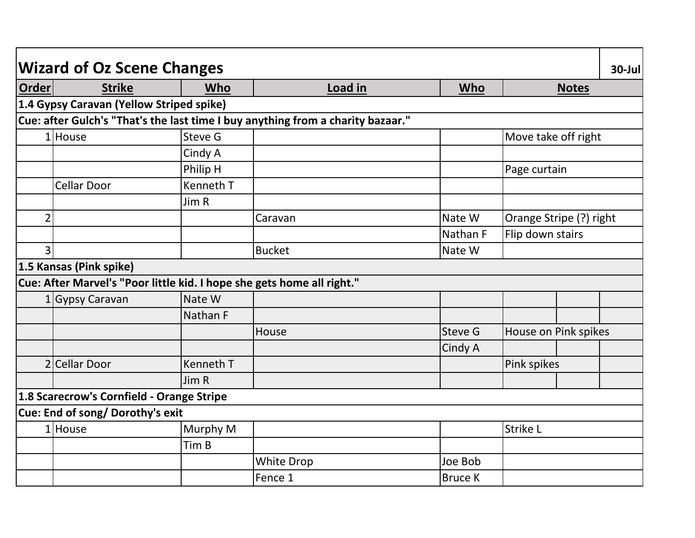|                | <b>Wizard of Oz Scene Changes</b>         |                  |                                                                                 |                |                         | $30$ -Jul |
|----------------|-------------------------------------------|------------------|---------------------------------------------------------------------------------|----------------|-------------------------|-----------|
| <b>Order</b>   | <b>Strike</b>                             | <b>Who</b>       | Load in                                                                         | Who            | <b>Notes</b>            |           |
|                | 1.4 Gypsy Caravan (Yellow Striped spike)  |                  |                                                                                 |                |                         |           |
|                |                                           |                  | Cue: after Gulch's "That's the last time I buy anything from a charity bazaar." |                |                         |           |
|                | $1$ House                                 | Steve G          |                                                                                 |                | Move take off right     |           |
|                |                                           | Cindy A          |                                                                                 |                |                         |           |
|                |                                           | Philip H         |                                                                                 |                | Page curtain            |           |
|                | <b>Cellar Door</b>                        | Kenneth T        |                                                                                 |                |                         |           |
|                |                                           | Jim R            |                                                                                 |                |                         |           |
| $\overline{2}$ |                                           |                  | Caravan                                                                         | Nate W         | Orange Stripe (?) right |           |
|                |                                           |                  |                                                                                 | Nathan F       | Flip down stairs        |           |
| 3              |                                           |                  | <b>Bucket</b>                                                                   | Nate W         |                         |           |
|                | 1.5 Kansas (Pink spike)                   |                  |                                                                                 |                |                         |           |
|                |                                           |                  | Cue: After Marvel's "Poor little kid. I hope she gets home all right."          |                |                         |           |
|                | 1 Gypsy Caravan                           | Nate W           |                                                                                 |                |                         |           |
|                |                                           | Nathan F         |                                                                                 |                |                         |           |
|                |                                           |                  | House                                                                           | Steve G        | House on Pink spikes    |           |
|                |                                           |                  |                                                                                 | Cindy A        |                         |           |
|                | 2 Cellar Door                             | <b>Kenneth T</b> |                                                                                 |                | Pink spikes             |           |
|                |                                           | Jim R            |                                                                                 |                |                         |           |
|                | 1.8 Scarecrow's Cornfield - Orange Stripe |                  |                                                                                 |                |                         |           |
|                | Cue: End of song/ Dorothy's exit          |                  |                                                                                 |                |                         |           |
|                | 1 House                                   | Murphy M         |                                                                                 |                | Strike L                |           |
|                |                                           | Tim B            |                                                                                 |                |                         |           |
|                |                                           |                  | <b>White Drop</b>                                                               | Joe Bob        |                         |           |
|                |                                           |                  | Fence 1                                                                         | <b>Bruce K</b> |                         |           |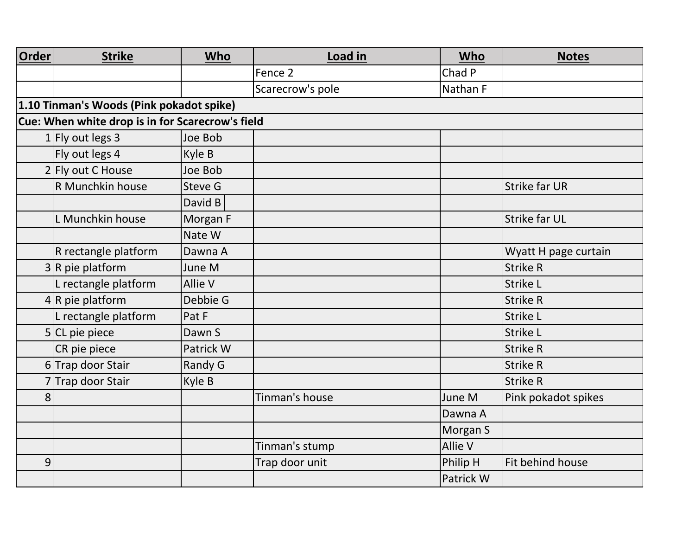| <b>Order</b> | <b>Strike</b>                                    | Who            | Load in          | Who            | <b>Notes</b>         |
|--------------|--------------------------------------------------|----------------|------------------|----------------|----------------------|
|              |                                                  |                | Fence 2          | Chad P         |                      |
|              |                                                  |                | Scarecrow's pole | Nathan F       |                      |
|              | 1.10 Tinman's Woods (Pink pokadot spike)         |                |                  |                |                      |
|              | Cue: When white drop is in for Scarecrow's field |                |                  |                |                      |
|              | 1 Fly out legs $3$                               | Joe Bob        |                  |                |                      |
|              | Fly out legs 4                                   | Kyle B         |                  |                |                      |
|              | 2 Fly out C House                                | Joe Bob        |                  |                |                      |
|              | R Munchkin house                                 | <b>Steve G</b> |                  |                | <b>Strike far UR</b> |
|              |                                                  | David B        |                  |                |                      |
|              | L Munchkin house                                 | Morgan F       |                  |                | <b>Strike far UL</b> |
|              |                                                  | Nate W         |                  |                |                      |
|              | R rectangle platform                             | Dawna A        |                  |                | Wyatt H page curtain |
|              | $3 R$ pie platform                               | June M         |                  |                | <b>Strike R</b>      |
|              | L rectangle platform                             | <b>Allie V</b> |                  |                | <b>Strike L</b>      |
|              | $4 R$ pie platform                               | Debbie G       |                  |                | <b>Strike R</b>      |
|              | L rectangle platform                             | Pat F          |                  |                | <b>Strike L</b>      |
|              | $5$ CL pie piece                                 | Dawn S         |                  |                | Strike L             |
|              | CR pie piece                                     | Patrick W      |                  |                | <b>Strike R</b>      |
|              | 6Trap door Stair                                 | Randy G        |                  |                | <b>Strike R</b>      |
|              | 7Trap door Stair                                 | Kyle B         |                  |                | <b>Strike R</b>      |
| 8            |                                                  |                | Tinman's house   | June M         | Pink pokadot spikes  |
|              |                                                  |                |                  | Dawna A        |                      |
|              |                                                  |                |                  | Morgan S       |                      |
|              |                                                  |                | Tinman's stump   | <b>Allie V</b> |                      |
| 9            |                                                  |                | Trap door unit   | Philip H       | Fit behind house     |
|              |                                                  |                |                  | Patrick W      |                      |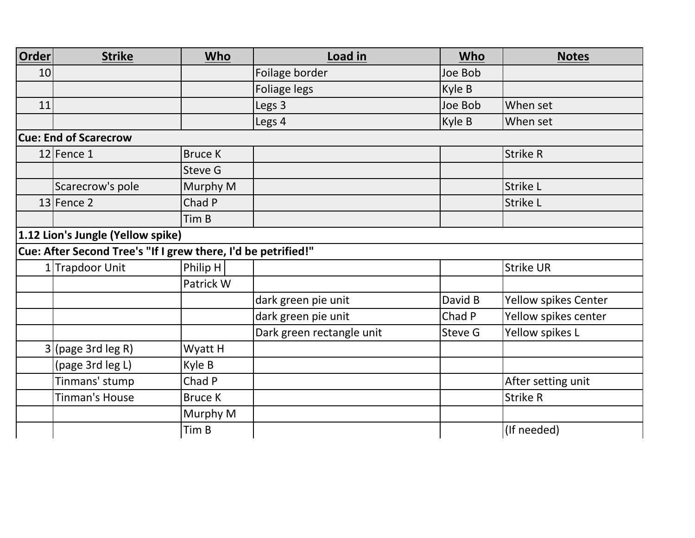| <b>Order</b>    | <b>Strike</b>                                                 | <b>Who</b>     | Load in                   | Who     | <b>Notes</b>         |
|-----------------|---------------------------------------------------------------|----------------|---------------------------|---------|----------------------|
| 10 <sup>1</sup> |                                                               |                | Foilage border            | Joe Bob |                      |
|                 |                                                               |                | Foliage legs              | Kyle B  |                      |
| 11              |                                                               |                | Legs 3                    | Joe Bob | When set             |
|                 |                                                               |                | Legs 4                    | Kyle B  | When set             |
|                 | <b>Cue: End of Scarecrow</b>                                  |                |                           |         |                      |
|                 | $12$ Fence 1                                                  | <b>Bruce K</b> |                           |         | <b>Strike R</b>      |
|                 |                                                               | Steve G        |                           |         |                      |
|                 | Scarecrow's pole                                              | Murphy M       |                           |         | <b>Strike L</b>      |
|                 | $13$ Fence 2                                                  | Chad P         |                           |         | <b>Strike L</b>      |
|                 |                                                               | Tim B          |                           |         |                      |
|                 | 1.12 Lion's Jungle (Yellow spike)                             |                |                           |         |                      |
|                 | Cue: After Second Tree's "If I grew there, I'd be petrified!" |                |                           |         |                      |
|                 | 1 Trapdoor Unit                                               | Philip $H$     |                           |         | <b>Strike UR</b>     |
|                 |                                                               | Patrick W      |                           |         |                      |
|                 |                                                               |                | dark green pie unit       | David B | Yellow spikes Center |
|                 |                                                               |                | dark green pie unit       | Chad P  | Yellow spikes center |
|                 |                                                               |                | Dark green rectangle unit | Steve G | Yellow spikes L      |
|                 | (page 3rd leg R)                                              | Wyatt H        |                           |         |                      |
|                 | (page 3rd leg L)                                              | Kyle B         |                           |         |                      |
|                 | Tinmans' stump                                                | Chad P         |                           |         | After setting unit   |
|                 | <b>Tinman's House</b>                                         | <b>Bruce K</b> |                           |         | <b>Strike R</b>      |
|                 |                                                               | Murphy M       |                           |         |                      |
|                 |                                                               | Tim B          |                           |         | (If needed)          |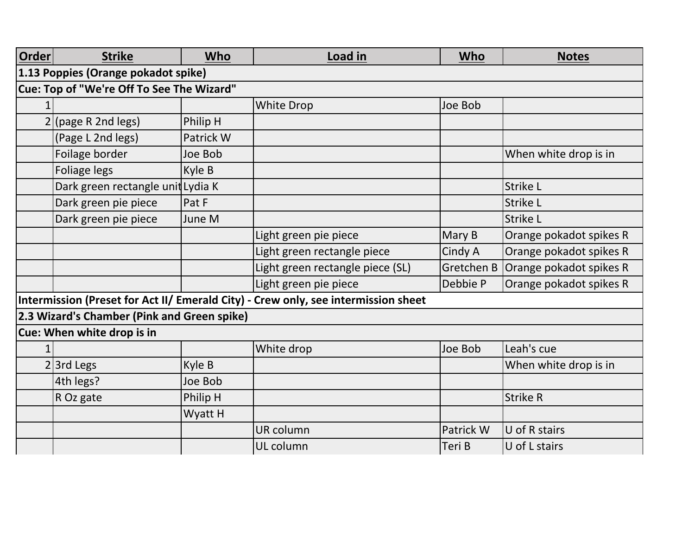| <b>Order</b>                              | <b>Strike</b>                               | Who       | Load in                                                                            | <b>Who</b> | <b>Notes</b>            |  |  |  |
|-------------------------------------------|---------------------------------------------|-----------|------------------------------------------------------------------------------------|------------|-------------------------|--|--|--|
| 1.13 Poppies (Orange pokadot spike)       |                                             |           |                                                                                    |            |                         |  |  |  |
| Cue: Top of "We're Off To See The Wizard" |                                             |           |                                                                                    |            |                         |  |  |  |
|                                           |                                             |           | <b>White Drop</b>                                                                  | Joe Bob    |                         |  |  |  |
|                                           | (page R 2nd legs)                           | Philip H  |                                                                                    |            |                         |  |  |  |
|                                           | (Page L 2nd legs)                           | Patrick W |                                                                                    |            |                         |  |  |  |
|                                           | Foilage border                              | Joe Bob   |                                                                                    |            | When white drop is in   |  |  |  |
|                                           | Foliage legs                                | Kyle B    |                                                                                    |            |                         |  |  |  |
|                                           | Dark green rectangle unit Lydia K           |           |                                                                                    |            | <b>Strike L</b>         |  |  |  |
|                                           | Dark green pie piece                        | Pat F     |                                                                                    |            | <b>Strike L</b>         |  |  |  |
|                                           | Dark green pie piece                        | June M    |                                                                                    |            | <b>Strike L</b>         |  |  |  |
|                                           |                                             |           | Light green pie piece                                                              | Mary B     | Orange pokadot spikes R |  |  |  |
|                                           |                                             |           | Light green rectangle piece                                                        | Cindy A    | Orange pokadot spikes R |  |  |  |
|                                           |                                             |           | Light green rectangle piece (SL)                                                   | Gretchen B | Orange pokadot spikes R |  |  |  |
|                                           |                                             |           | Light green pie piece                                                              | Debbie P   | Orange pokadot spikes R |  |  |  |
|                                           |                                             |           | Intermission (Preset for Act II/ Emerald City) - Crew only, see intermission sheet |            |                         |  |  |  |
|                                           | 2.3 Wizard's Chamber (Pink and Green spike) |           |                                                                                    |            |                         |  |  |  |
|                                           | Cue: When white drop is in                  |           |                                                                                    |            |                         |  |  |  |
|                                           |                                             |           | White drop                                                                         | Joe Bob    | Leah's cue              |  |  |  |
|                                           | $2$ 3rd Legs                                | Kyle B    |                                                                                    |            | When white drop is in   |  |  |  |
|                                           | 4th legs?                                   | Joe Bob   |                                                                                    |            |                         |  |  |  |
|                                           | R Oz gate                                   | Philip H  |                                                                                    |            | <b>Strike R</b>         |  |  |  |
|                                           |                                             | Wyatt H   |                                                                                    |            |                         |  |  |  |
|                                           |                                             |           | UR column                                                                          | Patrick W  | U of R stairs           |  |  |  |
|                                           |                                             |           | UL column                                                                          | Teri B     | U of L stairs           |  |  |  |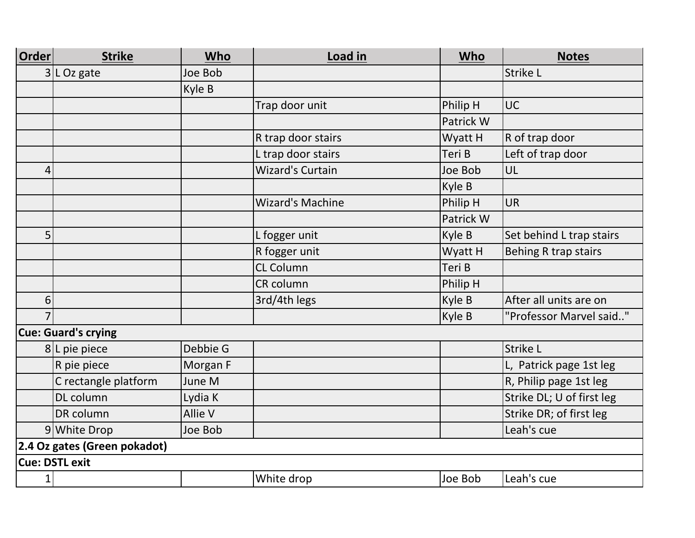| <b>Order</b> | <b>Strike</b>                | <b>Who</b> | Load in                 | Who       | <b>Notes</b>              |
|--------------|------------------------------|------------|-------------------------|-----------|---------------------------|
|              | $3 L$ Oz gate                | Joe Bob    |                         |           | Strike L                  |
|              |                              | Kyle B     |                         |           |                           |
|              |                              |            | Trap door unit          | Philip H  | <b>UC</b>                 |
|              |                              |            |                         | Patrick W |                           |
|              |                              |            | R trap door stairs      | Wyatt H   | R of trap door            |
|              |                              |            | L trap door stairs      | Teri B    | Left of trap door         |
| 4            |                              |            | <b>Wizard's Curtain</b> | Joe Bob   | UL                        |
|              |                              |            |                         | Kyle B    |                           |
|              |                              |            | <b>Wizard's Machine</b> | Philip H  | <b>UR</b>                 |
|              |                              |            |                         | Patrick W |                           |
| 5            |                              |            | L fogger unit           | Kyle B    | Set behind L trap stairs  |
|              |                              |            | R fogger unit           | Wyatt H   | Behing R trap stairs      |
|              |                              |            | <b>CL Column</b>        | Teri B    |                           |
|              |                              |            | CR column               | Philip H  |                           |
| 6            |                              |            | 3rd/4th legs            | Kyle B    | After all units are on    |
|              |                              |            |                         | Kyle B    | "Professor Marvel said"   |
|              | <b>Cue: Guard's crying</b>   |            |                         |           |                           |
|              | 8L pie piece                 | Debbie G   |                         |           | <b>Strike L</b>           |
|              | R pie piece                  | Morgan F   |                         |           | L, Patrick page 1st leg   |
|              | C rectangle platform         | June M     |                         |           | R, Philip page 1st leg    |
|              | DL column                    | Lydia K    |                         |           | Strike DL; U of first leg |
|              | DR column                    | Allie V    |                         |           | Strike DR; of first leg   |
|              | 9 White Drop                 | Joe Bob    |                         |           | Leah's cue                |
|              | 2.4 Oz gates (Green pokadot) |            |                         |           |                           |
|              | <b>Cue: DSTL exit</b>        |            |                         |           |                           |
| $1\vert$     |                              |            | White drop              | Joe Bob   | Leah's cue                |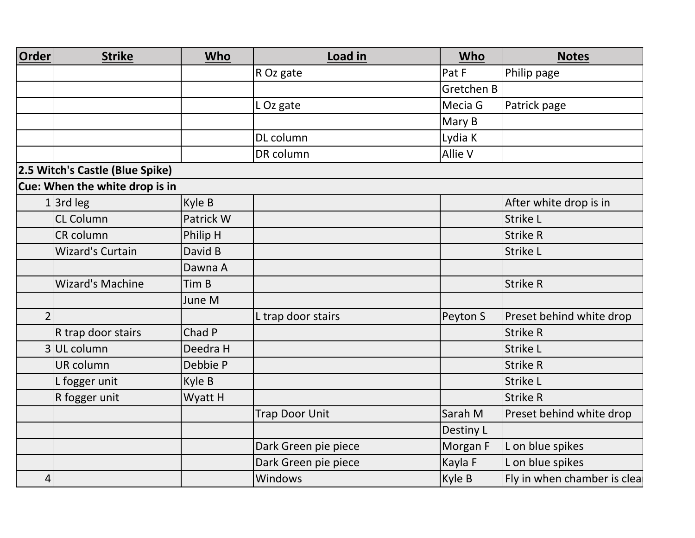| Order          | <b>Strike</b>                   | Who       | Load in               | Who        | <b>Notes</b>                |
|----------------|---------------------------------|-----------|-----------------------|------------|-----------------------------|
|                |                                 |           | R Oz gate             | Pat F      | Philip page                 |
|                |                                 |           |                       | Gretchen B |                             |
|                |                                 |           | LOz gate              | Mecia G    | Patrick page                |
|                |                                 |           |                       | Mary B     |                             |
|                |                                 |           | DL column             | Lydia K    |                             |
|                |                                 |           | DR column             | Allie V    |                             |
|                | 2.5 Witch's Castle (Blue Spike) |           |                       |            |                             |
|                | Cue: When the white drop is in  |           |                       |            |                             |
|                | $1$ 3rd leg                     | Kyle B    |                       |            | After white drop is in      |
|                | <b>CL Column</b>                | Patrick W |                       |            | Strike L                    |
|                | <b>CR</b> column                | Philip H  |                       |            | <b>Strike R</b>             |
|                | <b>Wizard's Curtain</b>         | David B   |                       |            | Strike L                    |
|                |                                 | Dawna A   |                       |            |                             |
|                | <b>Wizard's Machine</b>         | Tim B     |                       |            | <b>Strike R</b>             |
|                |                                 | June M    |                       |            |                             |
| $\overline{2}$ |                                 |           | L trap door stairs    | Peyton S   | Preset behind white drop    |
|                | R trap door stairs              | Chad P    |                       |            | <b>Strike R</b>             |
| 3              | UL column                       | Deedra H  |                       |            | Strike L                    |
|                | UR column                       | Debbie P  |                       |            | <b>Strike R</b>             |
|                | L fogger unit                   | Kyle B    |                       |            | Strike L                    |
|                | R fogger unit                   | Wyatt H   |                       |            | <b>Strike R</b>             |
|                |                                 |           | <b>Trap Door Unit</b> | Sarah M    | Preset behind white drop    |
|                |                                 |           |                       | Destiny L  |                             |
|                |                                 |           | Dark Green pie piece  | Morgan F   | L on blue spikes            |
|                |                                 |           | Dark Green pie piece  | Kayla F    | L on blue spikes            |
| 4              |                                 |           | Windows               | Kyle B     | Fly in when chamber is clea |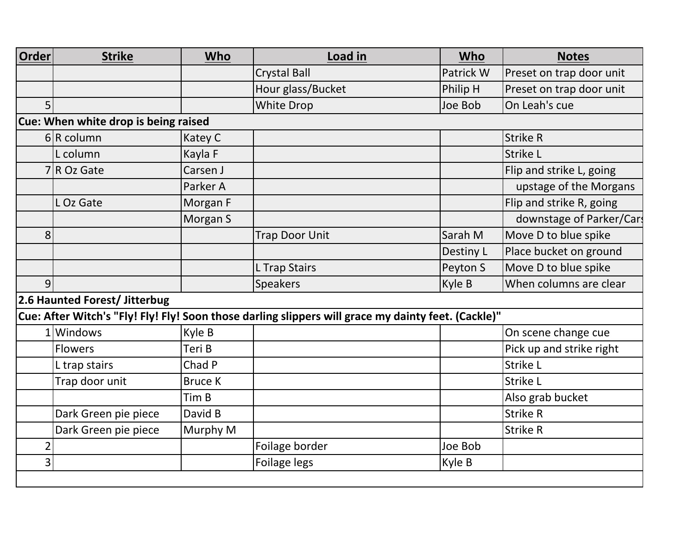| Order                                | <b>Strike</b>                 | <b>Who</b>     | Load in                                                                                             | Who       | <b>Notes</b>             |  |
|--------------------------------------|-------------------------------|----------------|-----------------------------------------------------------------------------------------------------|-----------|--------------------------|--|
|                                      |                               |                | <b>Crystal Ball</b>                                                                                 | Patrick W | Preset on trap door unit |  |
|                                      |                               |                | Hour glass/Bucket                                                                                   | Philip H  | Preset on trap door unit |  |
| 5                                    |                               |                | White Drop                                                                                          | Joe Bob   | On Leah's cue            |  |
| Cue: When white drop is being raised |                               |                |                                                                                                     |           |                          |  |
|                                      | $6 R$ column                  | Katey C        |                                                                                                     |           | <b>Strike R</b>          |  |
|                                      | L column                      | Kayla F        |                                                                                                     |           | <b>Strike L</b>          |  |
|                                      | $7 R$ Oz Gate                 | Carsen J       |                                                                                                     |           | Flip and strike L, going |  |
|                                      |                               | Parker A       |                                                                                                     |           | upstage of the Morgans   |  |
|                                      | L Oz Gate                     | Morgan F       |                                                                                                     |           | Flip and strike R, going |  |
|                                      |                               | Morgan S       |                                                                                                     |           | downstage of Parker/Cars |  |
| 8                                    |                               |                | <b>Trap Door Unit</b>                                                                               | Sarah M   | Move D to blue spike     |  |
|                                      |                               |                |                                                                                                     | Destiny L | Place bucket on ground   |  |
|                                      |                               |                | L Trap Stairs                                                                                       | Peyton S  | Move D to blue spike     |  |
| 9                                    |                               |                | <b>Speakers</b>                                                                                     | Kyle B    | When columns are clear   |  |
|                                      | 2.6 Haunted Forest/ Jitterbug |                |                                                                                                     |           |                          |  |
|                                      |                               |                | Cue: After Witch's "Fly! Fly! Fly! Soon those darling slippers will grace my dainty feet. (Cackle)" |           |                          |  |
|                                      | 1Windows                      | Kyle B         |                                                                                                     |           | On scene change cue      |  |
|                                      | <b>Flowers</b>                | Teri B         |                                                                                                     |           | Pick up and strike right |  |
|                                      | L trap stairs                 | Chad P         |                                                                                                     |           | <b>Strike L</b>          |  |
|                                      | Trap door unit                | <b>Bruce K</b> |                                                                                                     |           | Strike L                 |  |
|                                      |                               | Tim B          |                                                                                                     |           | Also grab bucket         |  |
|                                      | Dark Green pie piece          | David B        |                                                                                                     |           | <b>Strike R</b>          |  |
|                                      | Dark Green pie piece          | Murphy M       |                                                                                                     |           | <b>Strike R</b>          |  |
| $\overline{2}$                       |                               |                | Foilage border                                                                                      | Joe Bob   |                          |  |
| 3 <sup>1</sup>                       |                               |                | Foilage legs                                                                                        | Kyle B    |                          |  |
|                                      |                               |                |                                                                                                     |           |                          |  |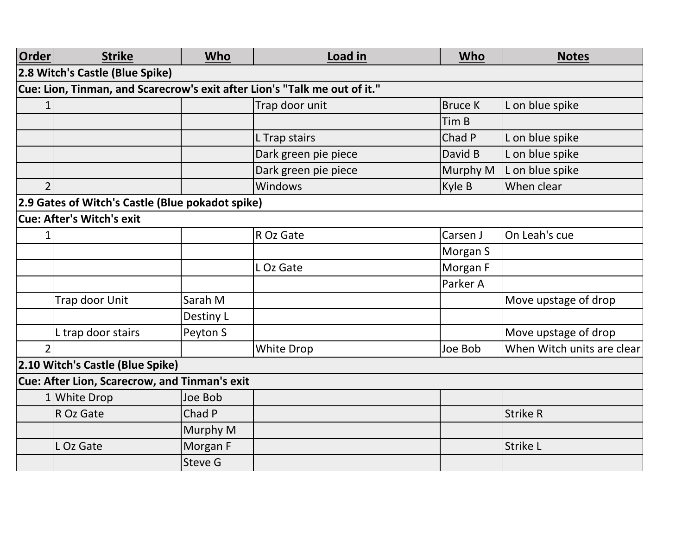| <b>Order</b> | <b>Strike</b>                                                             | <b>Who</b> | Load in              | <b>Who</b>     | <b>Notes</b>               |  |  |  |  |
|--------------|---------------------------------------------------------------------------|------------|----------------------|----------------|----------------------------|--|--|--|--|
|              | 2.8 Witch's Castle (Blue Spike)                                           |            |                      |                |                            |  |  |  |  |
|              | Cue: Lion, Tinman, and Scarecrow's exit after Lion's "Talk me out of it." |            |                      |                |                            |  |  |  |  |
|              |                                                                           |            | Trap door unit       | <b>Bruce K</b> | L on blue spike            |  |  |  |  |
|              |                                                                           |            |                      | Tim B          |                            |  |  |  |  |
|              |                                                                           |            | L Trap stairs        | Chad P         | L on blue spike            |  |  |  |  |
|              |                                                                           |            | Dark green pie piece | David B        | L on blue spike            |  |  |  |  |
|              |                                                                           |            | Dark green pie piece | Murphy M       | L on blue spike            |  |  |  |  |
|              |                                                                           |            | Windows              | Kyle B         | When clear                 |  |  |  |  |
|              | 2.9 Gates of Witch's Castle (Blue pokadot spike)                          |            |                      |                |                            |  |  |  |  |
|              | <b>Cue: After's Witch's exit</b>                                          |            |                      |                |                            |  |  |  |  |
|              |                                                                           |            | R Oz Gate            | Carsen J       | On Leah's cue              |  |  |  |  |
|              |                                                                           |            |                      | Morgan S       |                            |  |  |  |  |
|              |                                                                           |            | L Oz Gate            | Morgan F       |                            |  |  |  |  |
|              |                                                                           |            |                      | Parker A       |                            |  |  |  |  |
|              | Trap door Unit                                                            | Sarah M    |                      |                | Move upstage of drop       |  |  |  |  |
|              |                                                                           | Destiny L  |                      |                |                            |  |  |  |  |
|              | L trap door stairs                                                        | Peyton S   |                      |                | Move upstage of drop       |  |  |  |  |
|              |                                                                           |            | White Drop           | Joe Bob        | When Witch units are clear |  |  |  |  |
|              | 2.10 Witch's Castle (Blue Spike)                                          |            |                      |                |                            |  |  |  |  |
|              | Cue: After Lion, Scarecrow, and Tinman's exit                             |            |                      |                |                            |  |  |  |  |
|              | 1 White Drop                                                              | Joe Bob    |                      |                |                            |  |  |  |  |
|              | R Oz Gate                                                                 | Chad P     |                      |                | <b>Strike R</b>            |  |  |  |  |
|              |                                                                           | Murphy M   |                      |                |                            |  |  |  |  |
|              | L Oz Gate                                                                 | Morgan F   |                      |                | <b>Strike L</b>            |  |  |  |  |
|              |                                                                           | Steve G    |                      |                |                            |  |  |  |  |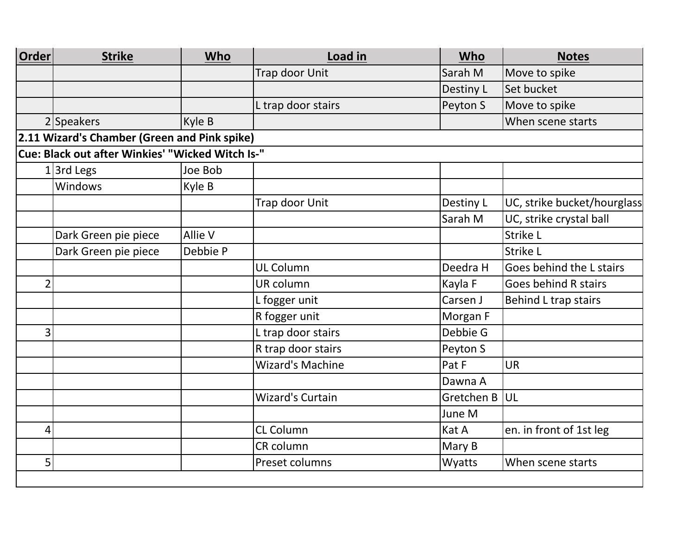| <b>Order</b>   | <b>Strike</b>                                    | Who      | Load in                 | Who        | <b>Notes</b>                |
|----------------|--------------------------------------------------|----------|-------------------------|------------|-----------------------------|
|                |                                                  |          | Trap door Unit          | Sarah M    | Move to spike               |
|                |                                                  |          |                         | Destiny L  | Set bucket                  |
|                |                                                  |          | L trap door stairs      | Peyton S   | Move to spike               |
|                | 2 Speakers                                       | Kyle B   |                         |            | When scene starts           |
|                | 2.11 Wizard's Chamber (Green and Pink spike)     |          |                         |            |                             |
|                | Cue: Black out after Winkies' "Wicked Witch Is-" |          |                         |            |                             |
|                | $1$ 3rd Legs                                     | Joe Bob  |                         |            |                             |
|                | <b>Windows</b>                                   | Kyle B   |                         |            |                             |
|                |                                                  |          | Trap door Unit          | Destiny L  | UC, strike bucket/hourglass |
|                |                                                  |          |                         | Sarah M    | UC, strike crystal ball     |
|                | Dark Green pie piece                             | Allie V  |                         |            | Strike L                    |
|                | Dark Green pie piece                             | Debbie P |                         |            | Strike L                    |
|                |                                                  |          | <b>UL Column</b>        | Deedra H   | Goes behind the L stairs    |
| $\overline{2}$ |                                                  |          | UR column               | Kayla F    | Goes behind R stairs        |
|                |                                                  |          | L fogger unit           | Carsen J   | Behind L trap stairs        |
|                |                                                  |          | R fogger unit           | Morgan F   |                             |
| 3              |                                                  |          | L trap door stairs      | Debbie G   |                             |
|                |                                                  |          | R trap door stairs      | Peyton S   |                             |
|                |                                                  |          | <b>Wizard's Machine</b> | Pat F      | <b>UR</b>                   |
|                |                                                  |          |                         | Dawna A    |                             |
|                |                                                  |          | <b>Wizard's Curtain</b> | Gretchen B | UL                          |
|                |                                                  |          |                         | June M     |                             |
| 4              |                                                  |          | <b>CL Column</b>        | Kat A      | en. in front of 1st leg     |
|                |                                                  |          | CR column               | Mary B     |                             |
| 5              |                                                  |          | Preset columns          | Wyatts     | When scene starts           |